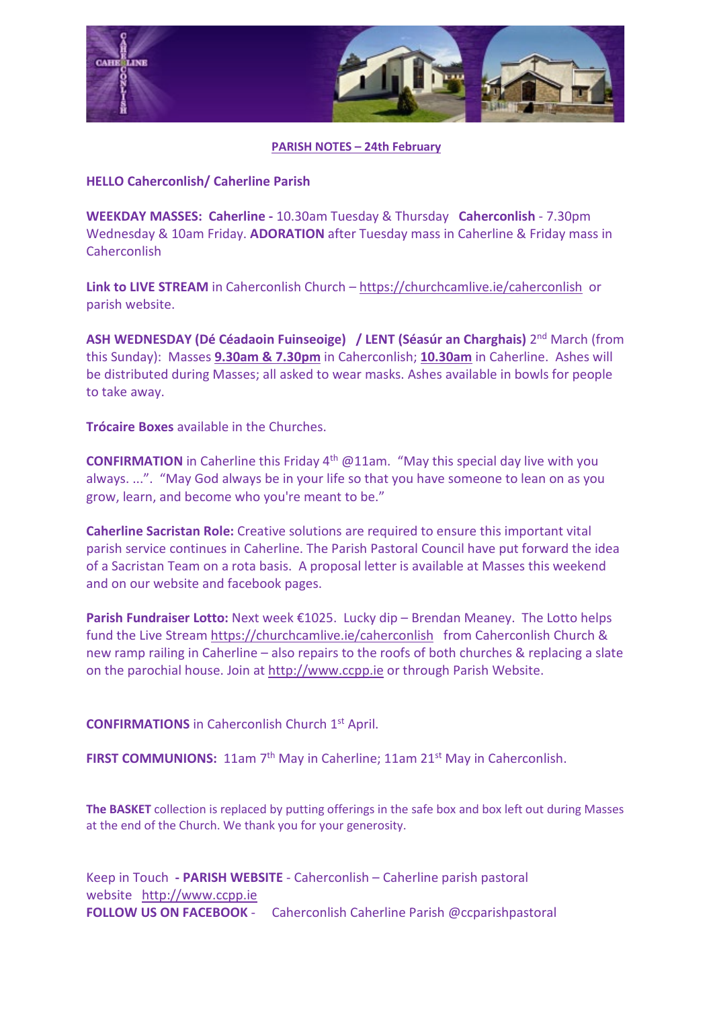

## **PARISH NOTES – 24th February**

## **HELLO Caherconlish/ Caherline Parish**

**WEEKDAY MASSES: Caherline -** 10.30am Tuesday & Thursday **Caherconlish** - 7.30pm Wednesday & 10am Friday. **ADORATION** after Tuesday mass in Caherline & Friday mass in Caherconlish

**Link to LIVE STREAM** in Caherconlish Church – <https://churchcamlive.ie/caherconlish>or parish website.

**ASH WEDNESDAY (Dé Céadaoin Fuinseoige) / LENT (Séasúr an Charghais)** 2nd March (from this Sunday): Masses **9.30am & 7.30pm** in Caherconlish; **10.30am** in Caherline. Ashes will be distributed during Masses; all asked to wear masks. Ashes available in bowls for people to take away.

**Trócaire Boxes** available in the Churches.

**CONFIRMATION** in Caherline this Friday 4<sup>th</sup> @11am. "May this special day live with you always. ...". "May God always be in your life so that you have someone to lean on as you grow, learn, and become who you're meant to be."

**Caherline Sacristan Role:** Creative solutions are required to ensure this important vital parish service continues in Caherline. The Parish Pastoral Council have put forward the idea of a Sacristan Team on a rota basis. A proposal letter is available at Masses this weekend and on our website and facebook pages.

Parish Fundraiser Lotto: Next week €1025. Lucky dip – Brendan Meaney. The Lotto helps fund the Live Stream <https://churchcamlive.ie/caherconlish>from Caherconlish Church & new ramp railing in Caherline – also repairs to the roofs of both churches & replacing a slate on the parochial house. Join at [http://www.ccpp.ie](http://www.ccpp.ie/) or through Parish Website.

**CONFIRMATIONS** in Caherconlish Church 1st April.

**FIRST COMMUNIONS:** 11am 7<sup>th</sup> May in Caherline: 11am 21<sup>st</sup> May in Caherconlish.

**The BASKET** collection is replaced by putting offerings in the safe box and box left out during Masses at the end of the Church. We thank you for your generosity.

Keep in Touch **- PARISH WEBSITE** - Caherconlish – Caherline parish pastoral website [http://www.ccpp.ie](http://www.ccpp.ie/)  **FOLLOW US ON FACEBOOK** - Caherconlish Caherline Parish @ccparishpastoral